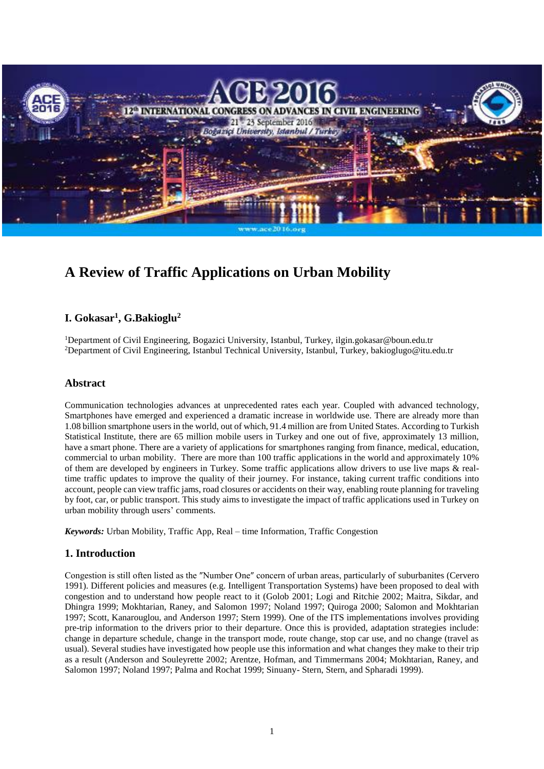

# **A Review of Traffic Applications on Urban Mobility**

# **I. Gokasar<sup>1</sup> , G.Bakioglu<sup>2</sup>**

<sup>1</sup>Department of Civil Engineering, Bogazici University, Istanbul, Turkey, ilgin.gokasar@boun.edu.tr <sup>2</sup>Department of Civil Engineering, Istanbul Technical University, Istanbul, Turkey, bakioglugo@itu.edu.tr

#### **Abstract**

Communication technologies advances at unprecedented rates each year. Coupled with advanced technology, Smartphones have emerged and experienced a dramatic increase in worldwide use. There are already more than 1.08 billion smartphone users in the world, out of which, 91.4 million are from United States. According to Turkish Statistical Institute, there are 65 million mobile users in Turkey and one out of five, approximately 13 million, have a smart phone. There are a variety of applications for smartphones ranging from finance, medical, education, commercial to urban mobility. There are more than 100 traffic applications in the world and approximately 10% of them are developed by engineers in Turkey. Some traffic applications allow drivers to use live maps & realtime traffic updates to improve the quality of their journey. For instance, taking current traffic conditions into account, people can view traffic jams, road closures or accidents on their way, enabling route planning for traveling by foot, car, or public transport. This study aims to investigate the impact of traffic applications used in Turkey on urban mobility through users' comments.

*Keywords:* Urban Mobility, Traffic App, Real – time Information, Traffic Congestion

## **1. Introduction**

Congestion is still often listed as the ″Number One″ concern of urban areas, particularly of suburbanites (Cervero 1991). Different policies and measures (e.g. Intelligent Transportation Systems) have been proposed to deal with congestion and to understand how people react to it (Golob 2001; Logi and Ritchie 2002; Maitra, Sikdar, and Dhingra 1999; Mokhtarian, Raney, and Salomon 1997; Noland 1997; Quiroga 2000; Salomon and Mokhtarian 1997; Scott, Kanarouglou, and Anderson 1997; Stern 1999). One of the ITS implementations involves providing pre-trip information to the drivers prior to their departure. Once this is provided, adaptation strategies include: change in departure schedule, change in the transport mode, route change, stop car use, and no change (travel as usual). Several studies have investigated how people use this information and what changes they make to their trip as a result (Anderson and Souleyrette 2002; Arentze, Hofman, and Timmermans 2004; Mokhtarian, Raney, and Salomon 1997; Noland 1997; Palma and Rochat 1999; Sinuany- Stern, Stern, and Spharadi 1999).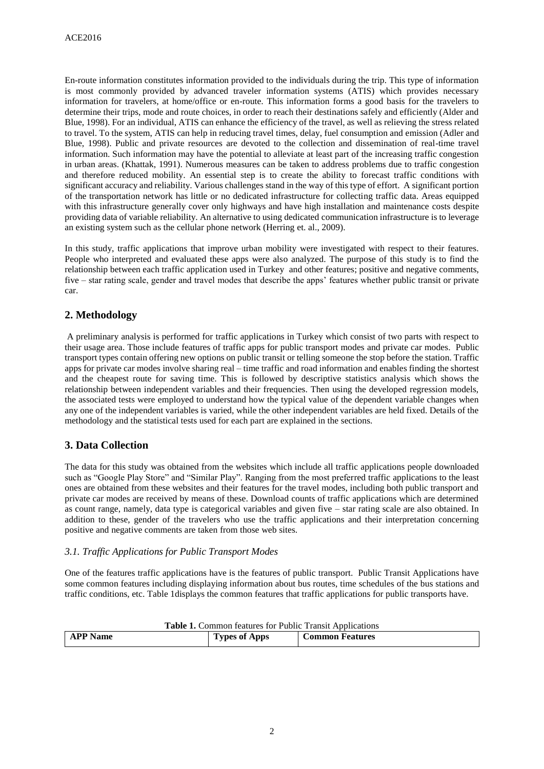En-route information constitutes information provided to the individuals during the trip. This type of information is most commonly provided by advanced traveler information systems (ATIS) which provides necessary information for travelers, at home/office or en-route. This information forms a good basis for the travelers to determine their trips, mode and route choices, in order to reach their destinations safely and efficiently (Alder and Blue, 1998). For an individual, ATIS can enhance the efficiency of the travel, as well as relieving the stress related to travel. To the system, ATIS can help in reducing travel times, delay, fuel consumption and emission (Adler and Blue, 1998). Public and private resources are devoted to the collection and dissemination of real-time travel information. Such information may have the potential to alleviate at least part of the increasing traffic congestion in urban areas. (Khattak, 1991). Numerous measures can be taken to address problems due to traffic congestion and therefore reduced mobility. An essential step is to create the ability to forecast traffic conditions with significant accuracy and reliability. Various challenges stand in the way of this type of effort. A significant portion of the transportation network has little or no dedicated infrastructure for collecting traffic data. Areas equipped with this infrastructure generally cover only highways and have high installation and maintenance costs despite providing data of variable reliability. An alternative to using dedicated communication infrastructure is to leverage an existing system such as the cellular phone network (Herring et. al., 2009).

In this study, traffic applications that improve urban mobility were investigated with respect to their features. People who interpreted and evaluated these apps were also analyzed. The purpose of this study is to find the relationship between each traffic application used in Turkey and other features; positive and negative comments, five – star rating scale, gender and travel modes that describe the apps' features whether public transit or private car.

# **2. Methodology**

A preliminary analysis is performed for traffic applications in Turkey which consist of two parts with respect to their usage area. Those include features of traffic apps for public transport modes and private car modes. Public transport types contain offering new options on public transit or telling someone the stop before the station. Traffic apps for private car modes involve sharing real – time traffic and road information and enables finding the shortest and the cheapest route for saving time. This is followed by descriptive statistics analysis which shows the relationship between independent variables and their frequencies. Then using the developed regression models, the associated tests were employed to understand how the typical value of the dependent variable changes when any one of the independent variables is varied, while the other independent variables are held fixed. Details of the methodology and the statistical tests used for each part are explained in the sections.

## **3. Data Collection**

The data for this study was obtained from the websites which include all traffic applications people downloaded such as "Google Play Store" and "Similar Play". Ranging from the most preferred traffic applications to the least ones are obtained from these websites and their features for the travel modes, including both public transport and private car modes are received by means of these. Download counts of traffic applications which are determined as count range, namely, data type is categorical variables and given five – star rating scale are also obtained. In addition to these, gender of the travelers who use the traffic applications and their interpretation concerning positive and negative comments are taken from those web sites.

#### *3.1. Traffic Applications for Public Transport Modes*

One of the features traffic applications have is the features of public transport. Public Transit Applications have some common features including displaying information about bus routes, time schedules of the bus stations and traffic conditions, etc. Table 1displays the common features that traffic applications for public transports have.

| <b>Table 1.</b> Common features for Public Transit Applications |                      |                        |  |  |  |
|-----------------------------------------------------------------|----------------------|------------------------|--|--|--|
| <b>APP</b> Name                                                 | <b>Types of Apps</b> | <b>Common Features</b> |  |  |  |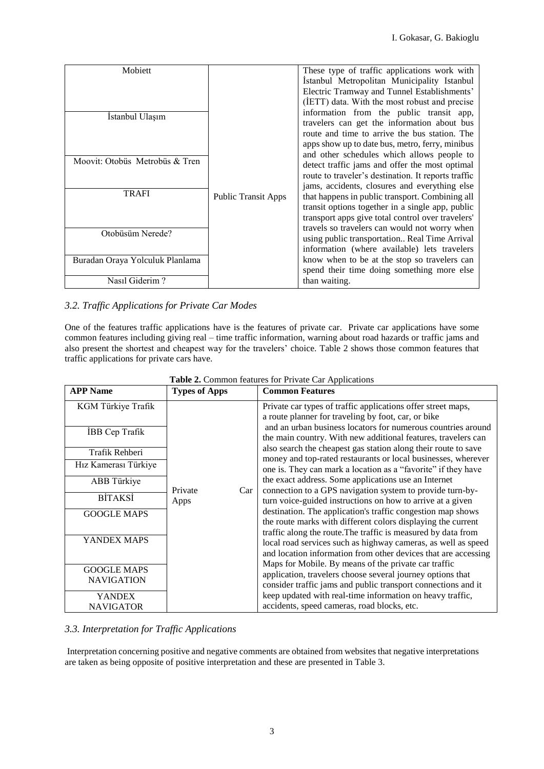| Mobiett                         |                            | These type of traffic applications work with                                                                                                                                                        |
|---------------------------------|----------------------------|-----------------------------------------------------------------------------------------------------------------------------------------------------------------------------------------------------|
|                                 |                            | İstanbul Metropolitan Municipality Istanbul<br>Electric Tramway and Tunnel Establishments'<br>(IETT) data. With the most robust and precise                                                         |
| Istanbul Ulaşım                 |                            | information from the public transit app,<br>travelers can get the information about bus<br>route and time to arrive the bus station. The                                                            |
| Moovit: Otobüs Metrobüs & Tren  |                            | apps show up to date bus, metro, ferry, minibus<br>and other schedules which allows people to                                                                                                       |
|                                 |                            | detect traffic jams and offer the most optimal<br>route to traveler's destination. It reports traffic                                                                                               |
| <b>TRAFI</b>                    | <b>Public Transit Apps</b> | jams, accidents, closures and everything else<br>that happens in public transport. Combining all<br>transit options together in a single app, public                                                |
| Otobüsüm Nerede?                |                            | transport apps give total control over travelers'<br>travels so travelers can would not worry when<br>using public transportation Real Time Arrival<br>information (where available) lets travelers |
| Buradan Oraya Yolculuk Planlama |                            | know when to be at the stop so travelers can<br>spend their time doing something more else                                                                                                          |
| Nasıl Giderim?                  |                            | than waiting.                                                                                                                                                                                       |

### *3.2. Traffic Applications for Private Car Modes*

One of the features traffic applications have is the features of private car. Private car applications have some common features including giving real – time traffic information, warning about road hazards or traffic jams and also present the shortest and cheapest way for the travelers' choice. Table 2 shows those common features that traffic applications for private cars have.

| <b>APP Name</b>       | <b>Types of Apps</b> | <b>Common Features</b>                                         |
|-----------------------|----------------------|----------------------------------------------------------------|
| KGM Türkiye Trafik    |                      | Private car types of traffic applications offer street maps,   |
|                       |                      | a route planner for traveling by foot, car, or bike            |
| <b>IBB</b> Cep Trafik |                      | and an urban business locators for numerous countries around   |
|                       |                      | the main country. With new additional features, travelers can  |
| Trafik Rehberi        |                      | also search the cheapest gas station along their route to save |
| Hız Kamerası Türkiye  |                      | money and top-rated restaurants or local businesses, wherever  |
|                       |                      | one is. They can mark a location as a "favorite" if they have  |
| ABB Türkiye           |                      | the exact address. Some applications use an Internet           |
| <b>BITAKSI</b>        | Private<br>Car       | connection to a GPS navigation system to provide turn-by-      |
|                       | Apps                 | turn voice-guided instructions on how to arrive at a given     |
| <b>GOOGLE MAPS</b>    |                      | destination. The application's traffic congestion map shows    |
|                       |                      | the route marks with different colors displaying the current   |
| YANDEX MAPS           |                      | traffic along the route. The traffic is measured by data from  |
|                       |                      | local road services such as highway cameras, as well as speed  |
|                       |                      | and location information from other devices that are accessing |
| <b>GOOGLE MAPS</b>    |                      | Maps for Mobile. By means of the private car traffic           |
| <b>NAVIGATION</b>     |                      | application, travelers choose several journey options that     |
|                       |                      | consider traffic jams and public transport connections and it  |
| YANDEX                |                      | keep updated with real-time information on heavy traffic,      |
| <b>NAVIGATOR</b>      |                      | accidents, speed cameras, road blocks, etc.                    |

| Table 2. Common features for Private Car Applications |
|-------------------------------------------------------|
|-------------------------------------------------------|

#### *3.3. Interpretation for Traffic Applications*

Interpretation concerning positive and negative comments are obtained from websites that negative interpretations are taken as being opposite of positive interpretation and these are presented in Table 3.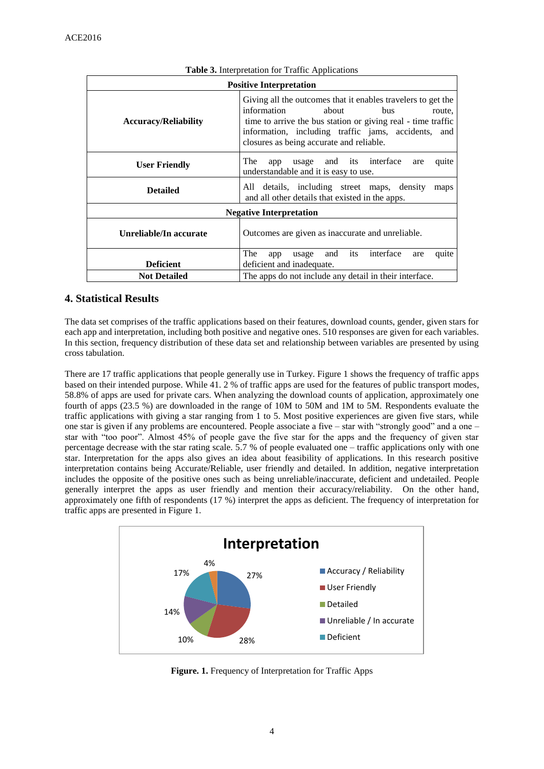| <b>Positive Interpretation</b> |                                                                                                                                                                                                                                                                          |  |  |  |  |
|--------------------------------|--------------------------------------------------------------------------------------------------------------------------------------------------------------------------------------------------------------------------------------------------------------------------|--|--|--|--|
| <b>Accuracy/Reliability</b>    | Giving all the outcomes that it enables travelers to get the<br>information<br>about<br>bus<br>route,<br>time to arrive the bus station or giving real - time traffic<br>information, including traffic jams, accidents, and<br>closures as being accurate and reliable. |  |  |  |  |
| <b>User Friendly</b>           | <b>The</b><br>usage and its interface<br>quite<br>app<br>are<br>understandable and it is easy to use.                                                                                                                                                                    |  |  |  |  |
| <b>Detailed</b>                | All details, including street maps, density<br>maps<br>and all other details that existed in the apps.                                                                                                                                                                   |  |  |  |  |
|                                | <b>Negative Interpretation</b>                                                                                                                                                                                                                                           |  |  |  |  |
| Unreliable/In accurate         | Outcomes are given as inaccurate and unreliable.                                                                                                                                                                                                                         |  |  |  |  |
|                                | The<br>interface<br>its<br>and<br>quite<br>usage<br>app<br>are                                                                                                                                                                                                           |  |  |  |  |
| <b>Deficient</b>               | deficient and inadequate.                                                                                                                                                                                                                                                |  |  |  |  |
| <b>Not Detailed</b>            | The apps do not include any detail in their interface.                                                                                                                                                                                                                   |  |  |  |  |

#### **Table 3.** Interpretation for Traffic Applications

# **4. Statistical Results**

The data set comprises of the traffic applications based on their features, download counts, gender, given stars for each app and interpretation, including both positive and negative ones. 510 responses are given for each variables. In this section, frequency distribution of these data set and relationship between variables are presented by using cross tabulation.

There are 17 traffic applications that people generally use in Turkey. Figure 1 shows the frequency of traffic apps based on their intended purpose. While 41. 2 % of traffic apps are used for the features of public transport modes, 58.8% of apps are used for private cars. When analyzing the download counts of application, approximately one fourth of apps (23.5 %) are downloaded in the range of 10M to 50M and 1M to 5M. Respondents evaluate the traffic applications with giving a star ranging from 1 to 5. Most positive experiences are given five stars, while one star is given if any problems are encountered. People associate a five – star with "strongly good" and a one – star with "too poor". Almost 45% of people gave the five star for the apps and the frequency of given star percentage decrease with the star rating scale. 5.7 % of people evaluated one – traffic applications only with one star. Interpretation for the apps also gives an idea about feasibility of applications. In this research positive interpretation contains being Accurate/Reliable, user friendly and detailed. In addition, negative interpretation includes the opposite of the positive ones such as being unreliable/inaccurate, deficient and undetailed. People generally interpret the apps as user friendly and mention their accuracy/reliability. On the other hand, approximately one fifth of respondents (17 %) interpret the apps as deficient. The frequency of interpretation for traffic apps are presented in Figure 1.



**Figure. 1.** Frequency of Interpretation for Traffic Apps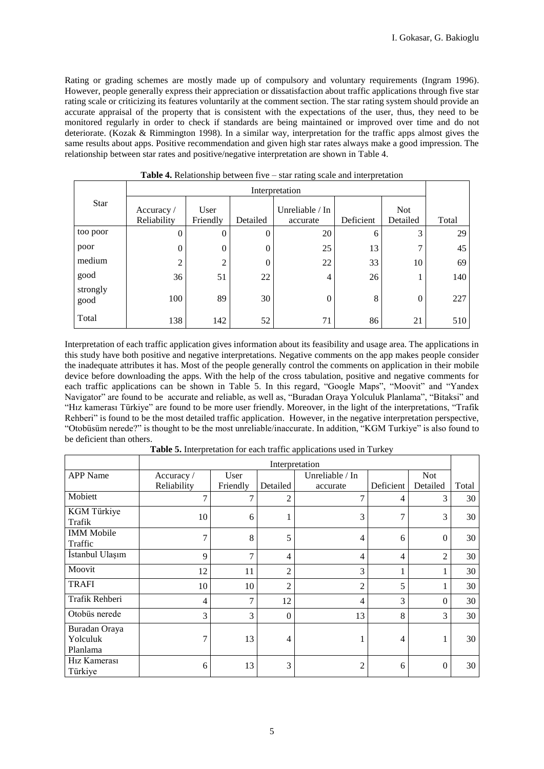Rating or grading schemes are mostly made up of compulsory and voluntary requirements (Ingram 1996). However, people generally express their appreciation or dissatisfaction about traffic applications through five star rating scale or criticizing its features voluntarily at the comment section. The star rating system should provide an accurate appraisal of the property that is consistent with the expectations of the user, thus, they need to be monitored regularly in order to check if standards are being maintained or improved over time and do not deteriorate. (Kozak & Rimmington 1998). In a similar way, interpretation for the traffic apps almost gives the same results about apps. Positive recommendation and given high star rates always make a good impression. The relationship between star rates and positive/negative interpretation are shown in Table 4.

|                  | Interpretation            |                  |          |                             |           |                        |       |
|------------------|---------------------------|------------------|----------|-----------------------------|-----------|------------------------|-------|
| <b>Star</b>      | Accuracy /<br>Reliability | User<br>Friendly | Detailed | Unreliable / In<br>accurate | Deficient | <b>Not</b><br>Detailed | Total |
| too poor         | 0                         | $\theta$         | $\theta$ | 20                          | 6         | 3                      | 29    |
| poor             | $\overline{0}$            | $\theta$         | 0        | 25                          | 13        | ⇁                      | 45    |
| medium           | 2                         | $\overline{c}$   | $\theta$ | 22                          | 33        | 10                     | 69    |
| good             | 36                        | 51               | 22       | 4                           | 26        |                        | 140   |
| strongly<br>good | 100                       | 89               | 30       | 0                           | 8         | $\Omega$               | 227   |
| Total            | 138                       | 142              | 52       | 71                          | 86        | 21                     | 510   |

**Table 4.** Relationship between five – star rating scale and interpretation

Interpretation of each traffic application gives information about its feasibility and usage area. The applications in this study have both positive and negative interpretations. Negative comments on the app makes people consider the inadequate attributes it has. Most of the people generally control the comments on application in their mobile device before downloading the apps. With the help of the cross tabulation, positive and negative comments for each traffic applications can be shown in Table 5. In this regard, "Google Maps", "Moovit" and "Yandex Navigator" are found to be accurate and reliable, as well as, "Buradan Oraya Yolculuk Planlama", "Bitaksi" and "Hız kamerası Türkiye" are found to be more user friendly. Moreover, in the light of the interpretations, "Trafik Rehberi" is found to be the most detailed traffic application. However, in the negative interpretation perspective, "Otobüsüm nerede?" is thought to be the most unreliable/inaccurate. In addition, "KGM Turkiye" is also found to be deficient than others.

**Table 5.** Interpretation for each traffic applications used in Turkey

|                                       | Interpretation |          |                |                   |                |                |       |
|---------------------------------------|----------------|----------|----------------|-------------------|----------------|----------------|-------|
| <b>APP</b> Name                       | Accuracy /     | User     |                | Unreliable $/$ In |                | <b>Not</b>     |       |
|                                       | Reliability    | Friendly | Detailed       | accurate          | Deficient      | Detailed       | Total |
| Mobiett                               | $\overline{7}$ | 7        | $\overline{2}$ | $\mathcal{I}$     | 4              | 3              | 30    |
| KGM Türkiye<br>Trafik                 | 10             | 6        | T              | 3                 | 7              | 3              | 30    |
| <b>IMM</b> Mobile<br>Traffic          | 7              | 8        | 5              | 4                 | 6              | $\mathbf{0}$   | 30    |
| İstanbul Ulaşım                       | 9              | 7        | 4              | $\overline{4}$    | $\overline{4}$ | $\overline{2}$ | 30    |
| Moovit                                | 12             | 11       | $\overline{c}$ | 3                 |                |                | 30    |
| <b>TRAFI</b>                          | 10             | 10       | $\overline{2}$ | $\overline{2}$    | 5              |                | 30    |
| Trafik Rehberi                        | 4              | 7        | 12             | 4                 | 3              | $\Omega$       | 30    |
| Otobüs nerede                         | 3              | 3        | $\mathbf{0}$   | 13                | 8              | 3              | 30    |
| Buradan Oraya<br>Yolculuk<br>Planlama | 7              | 13       | 4              |                   | 4              | 1              | 30    |
| H <sub>1</sub> z Kamerası<br>Türkiye  | 6              | 13       | 3              | 2                 | 6              | $\Omega$       | 30    |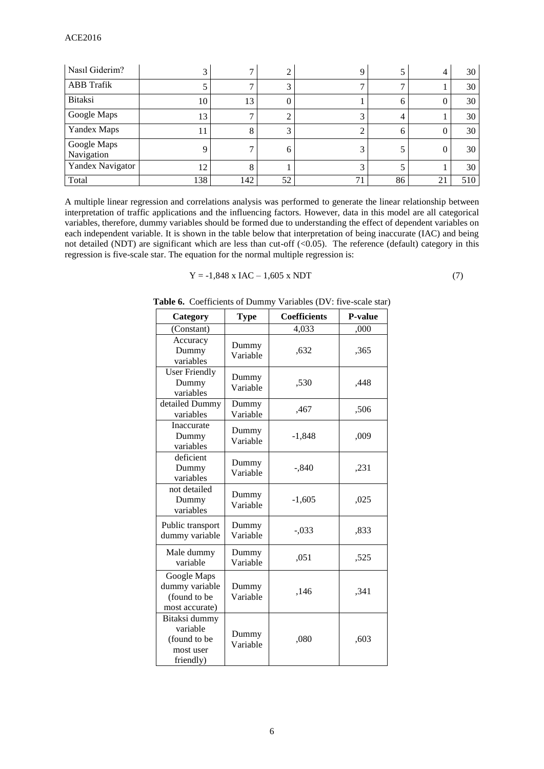| Nasıl Giderim?            |     |     | ∠  |             |    | 4  | 30  |
|---------------------------|-----|-----|----|-------------|----|----|-----|
| <b>ABB</b> Trafik         |     |     | 3  |             |    |    | 30  |
| <b>Bitaksi</b>            | 10  | 13  | 0  |             |    | U  | 30  |
| Google Maps               | 13  |     |    |             |    |    | 30  |
| Yandex Maps               |     | 8   | 3  |             | n  | U  | 30  |
| Google Maps<br>Navigation |     |     | 6  |             |    | U  | 30  |
| Yandex Navigator          | 12  |     |    |             |    |    | 30  |
| Total                     | 138 | 142 | 52 | $7^{\circ}$ | 86 | 21 | 510 |

A multiple linear regression and correlations analysis was performed to generate the linear relationship between interpretation of traffic applications and the influencing factors. However, data in this model are all categorical variables, therefore, dummy variables should be formed due to understanding the effect of dependent variables on each independent variable. It is shown in the table below that interpretation of being inaccurate (IAC) and being not detailed (NDT) are significant which are less than cut-off (<0.05). The reference (default) category in this regression is five-scale star. The equation for the normal multiple regression is:

$$
Y = -1,848 \text{ x } IAC - 1,605 \text{ x } NDT \tag{7}
$$

| Category                                                            | <b>Type</b>       | <b>Coefficients</b> | P-value |
|---------------------------------------------------------------------|-------------------|---------------------|---------|
| (Constant)                                                          |                   | 4,033               | ,000    |
| Accuracy<br>Dummy<br>variables                                      | Dummy<br>Variable | ,632                | ,365    |
| <b>User Friendly</b><br>Dummy<br>variables                          | Dummy<br>Variable | ,530                | ,448    |
| detailed Dummy<br>variables                                         | Dummy<br>Variable | ,467                | ,506    |
| Inaccurate<br>Dummy<br>variables                                    | Dummy<br>Variable | $-1,848$            | ,009    |
| deficient<br>Dummy<br>variables                                     | Dummy<br>Variable | $-.840$             | ,231    |
| not detailed<br>Dummy<br>variables                                  | Dummy<br>Variable | $-1,605$            | ,025    |
| Public transport<br>dummy variable                                  | Dummy<br>Variable | $-.033$             | ,833    |
| Male dummy<br>variable                                              | Dummy<br>Variable | ,051                | ,525    |
| Google Maps<br>dummy variable<br>(found to be<br>most accurate)     | Dummy<br>Variable | ,146                | ,341    |
| Bitaksi dummy<br>variable<br>(found to be<br>most user<br>friendly) | Dummy<br>Variable | ,080                | ,603    |

**Table 6.** Coefficients of Dummy Variables (DV: five-scale star)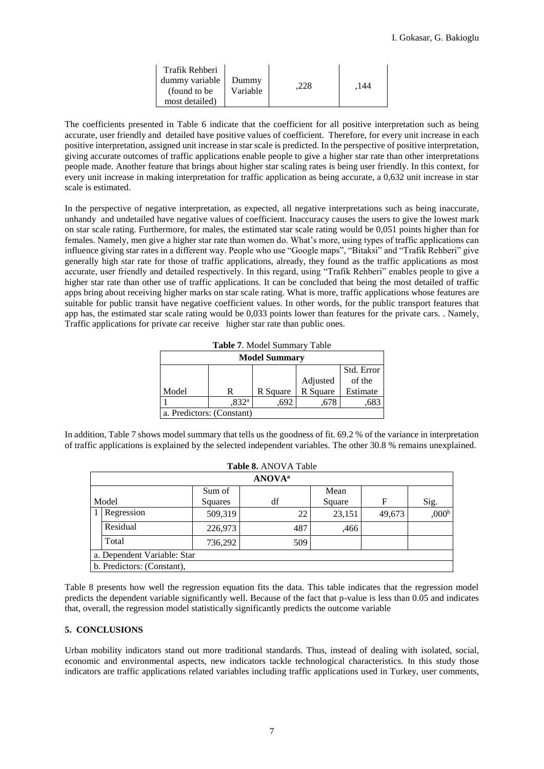| Trafik Rehberi<br>dummy variable<br>(found to be<br>most detailed) | Dummy<br>Variable |  | .144 |
|--------------------------------------------------------------------|-------------------|--|------|
|--------------------------------------------------------------------|-------------------|--|------|

The coefficients presented in Table 6 indicate that the coefficient for all positive interpretation such as being accurate, user friendly and detailed have positive values of coefficient. Therefore, for every unit increase in each positive interpretation, assigned unit increase in star scale is predicted. In the perspective of positive interpretation, giving accurate outcomes of traffic applications enable people to give a higher star rate than other interpretations people made. Another feature that brings about higher star scaling rates is being user friendly. In this context, for every unit increase in making interpretation for traffic application as being accurate, a 0,632 unit increase in star scale is estimated.

In the perspective of negative interpretation, as expected, all negative interpretations such as being inaccurate, unhandy and undetailed have negative values of coefficient. Inaccuracy causes the users to give the lowest mark on star scale rating. Furthermore, for males, the estimated star scale rating would be 0,051 points higher than for females. Namely, men give a higher star rate than women do. What's more, using types of traffic applications can influence giving star rates in a different way. People who use "Google maps", "Bitaksi" and "Trafik Rehberi" give generally high star rate for those of traffic applications, already, they found as the traffic applications as most accurate, user friendly and detailed respectively. In this regard, using "Trafik Rehberi" enables people to give a higher star rate than other use of traffic applications. It can be concluded that being the most detailed of traffic apps bring about receiving higher marks on star scale rating. What is more, traffic applications whose features are suitable for public transit have negative coefficient values. In other words, for the public transport features that app has, the estimated star scale rating would be 0,033 points lower than features for the private cars. . Namely, Traffic applications for private car receive higher star rate than public ones.

| <b>Model Summary</b> |                           |          |          |            |  |  |
|----------------------|---------------------------|----------|----------|------------|--|--|
|                      |                           |          |          | Std. Error |  |  |
|                      |                           |          | Adjusted | of the     |  |  |
| Model                |                           | R Square | R Square | Estimate   |  |  |
|                      | .832 <sup>a</sup>         | .692     |          | ,683       |  |  |
|                      | a. Predictors: (Constant) |          |          |            |  |  |

In addition, Table 7 shows model summary that tells us the goodness of fit. 69.2 % of the variance in interpretation of traffic applications is explained by the selected independent variables. The other 30.8 % remains unexplained.

| Table 8. ANOVA Table      |                             |         |    |     |        |        |                   |
|---------------------------|-----------------------------|---------|----|-----|--------|--------|-------------------|
| <b>ANOVA</b> <sup>a</sup> |                             |         |    |     |        |        |                   |
|                           |                             | Sum of  |    |     | Mean   |        |                   |
| Model                     |                             | Squares | df |     | Square | F      | Sig.              |
|                           | Regression                  | 509,319 |    | 22  | 23,151 | 49,673 | ,000 <sup>b</sup> |
|                           | Residual                    | 226,973 |    | 487 | ,466   |        |                   |
|                           | Total                       | 736,292 |    | 509 |        |        |                   |
|                           | a. Dependent Variable: Star |         |    |     |        |        |                   |
|                           | b. Predictors: (Constant),  |         |    |     |        |        |                   |

Table 8 presents how well the regression equation fits the data. This table indicates that the regression model predicts the dependent variable significantly well. Because of the fact that p-value is less than 0.05 and indicates that, overall, the regression model statistically significantly predicts the outcome variable

#### **5. CONCLUSIONS**

Urban mobility indicators stand out more traditional standards. Thus, instead of dealing with isolated, social, economic and environmental aspects, new indicators tackle technological characteristics. In this study those indicators are traffic applications related variables including traffic applications used in Turkey, user comments,